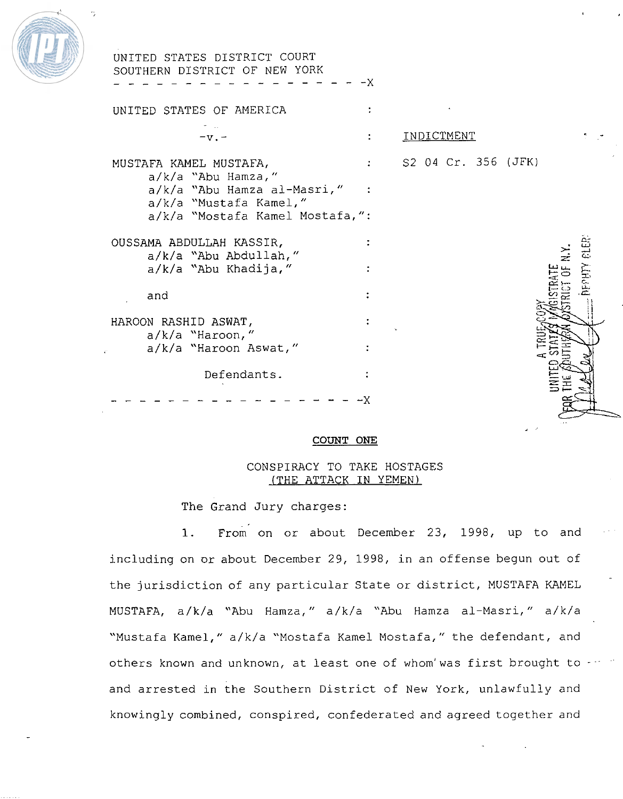

| UNITED STATES DISTRICT COURT<br>SOUTHERN DISTRICT OF NEW YORK                   |    |                       |
|---------------------------------------------------------------------------------|----|-----------------------|
|                                                                                 | –x |                       |
| UNITED STATES OF AMERICA                                                        |    |                       |
| $-v -$                                                                          |    | INDICTMENT            |
| MUSTAFA KAMEL MUSTAFA,                                                          |    | : S2 04 Cr. 356 (JFK) |
| $a/k/a$ "Abu Hamza,"<br>a/k/a "Abu Hamza al-Masri," :<br>a/k/a "Mustafa Kamel," |    |                       |
| a/k/a "Mostafa Kamel Mostafa,":                                                 |    |                       |
| OUSSAMA ABDULLAH KASSIR,<br>a/k/a "Abu Abdullah,"                               |    |                       |
| a/k/a "Abu Khadija,"                                                            |    | <b>SERIANE</b>        |
| and                                                                             |    |                       |
| HAROON RASHID ASWAT,                                                            |    |                       |
| $a/k/a$ "Haroon,"<br>a/k/a "Haroon Aswat,"                                      |    |                       |
| Defendants.                                                                     |    |                       |
|                                                                                 | -x |                       |

# **COUNT ONE**

# CONSPIRACY TO TAKE **HOSTAGES**  (THE **ATTACK IN YEMEN)**

The **Grand** Jury charges:

**1. ~rom on** or about **December** 23, 1998, up to and including on or about December 29, 1998, in an offense begun out of the jurisdiction of any particular State or district, MUSTAFA KAMEL **MUSTAFA,** a/k/a "Abu Hamza, " a/k/a "Abu Hamza al-Masri, " **a/k/a**  "Mustafa Kamel," a/k/a "Mostafa Kamel Mostafa," the defendant, and others known and unknown, at least one of whom'was first brought to and arrested in the Southern District of New **York,** unlawfully **and**  knowingly **combined,** conspired, confederated **and** agreed together and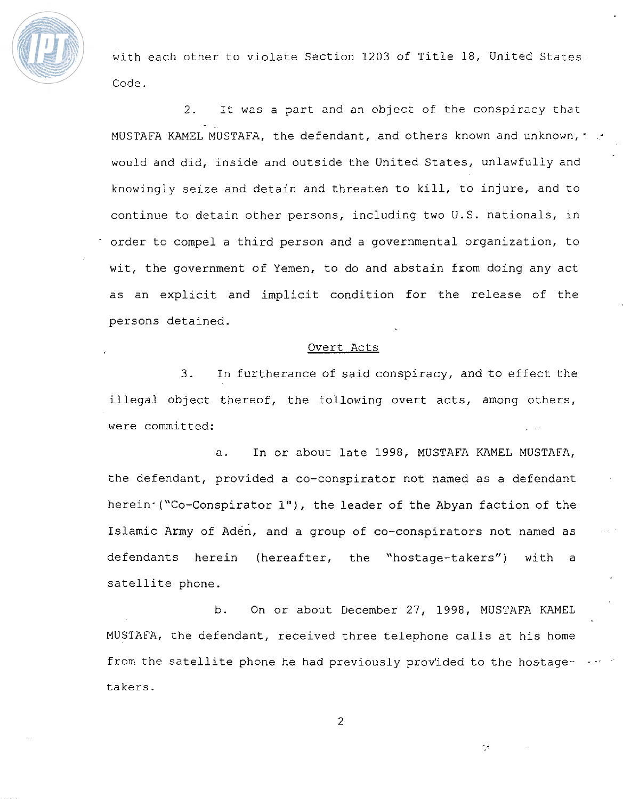

with each other to violate Section 1203 of Title 18, United States Code.

2. **It** was a part and an object of the conspiracy that MUSTAFA KAMEL MUSTAFA, the defendant, and others known and unknown,  $\sim$ would and did, inside and outside the United States, unlawfully and knowingly seize and detain and threaten to kill, to injure, and to continue to detain other persons, including two U.S. nationals, in order to compel a third person and a governmental organization, to wit, the government of Yemen, to do and abstain fxom doing any act as an explicit and implicit condition for the release of the persons detained.

#### Overt Acts

3. In furtherance of said conspiracy, and to effect the illegal object thereof, the following overt acts, among others, were committed: **,** ..

a. In or about late 1998, MUSTAFA **KAMEL MUSTAFA,**  the defendant, provided a co-conspirator not named as a defendant herein- ("Co-Conspirator **I"),** the leader of the Abyan faction of the Islamic Army of den, and a group of co-conspirators not named as defendants herein (hereafter, the "hostage-takers") with a satellite phone.

b. On or about December 27, 1998, **MUSTAFA KAMEL**  MUSTAFA, the defendant, received three telephone calls at his home from the satellite phone he had previously provided to the hostagetakers.

 $\overline{c}$ 

برم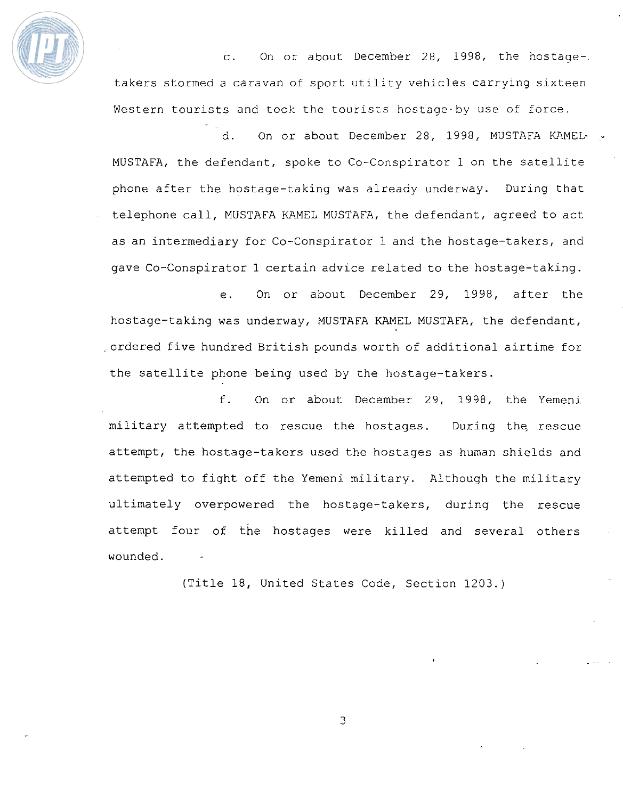

**c. On** or about December 28, 1998, the hostagetakers stormed a caravan of sport utility vehicles **carrying** sixteen Western tourists and took the tourists hostage-by use of **force.** 

d. On or about December 28, 1998, MUSTAFA KAMEL- . **MUSTAFA,** the defendant, spoke to Co-Conspirator 1 on the satellite phone after the hostage-taking was already underway. During that telephone call, MUSTAFA KAMEL MUSTAFA, the defendant, agreed to act as an intermediary for Co-Conspirator 1 and the hostage-takers, and gave Co-Conspirator 1 certain advice related to the hostage-taking.

e. On or about December 29, 1998, after the hostage-taking was underway, MUSTAFA KAMEL MUSTAFA, the defendant, =ordered five hundred British pounds worth of additional airtime for the satellite phone being used **by** the hostage-takers.

f. On or about December 29, 1998, the Yemeni military attempted to rescue the hostages. During the rescue attempt, the hostage-takers used the hostages as human shields and attempted to fight off the Yemeni military. Although the military ultimately overpowered the hostage-takers, during the rescue attempt four of the hostages were killed and several others wounded.

(Title 18, United States Code, Section 1203.)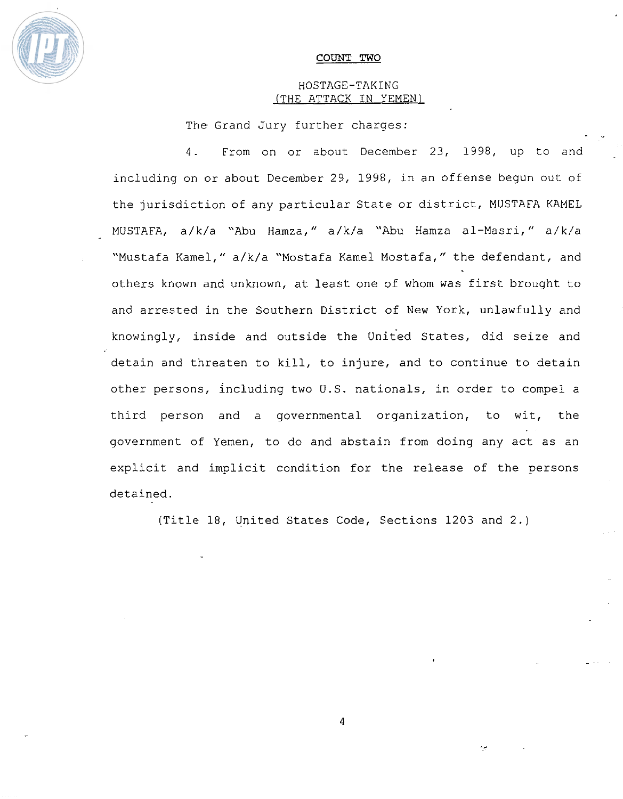

#### COUNT TWO

# HOSTAGE-TAKING (THE ATTACK IN YEMEN)

- \*

The Grand Jury further charges:

4- From on or about December 23, 1998, up **to** and including on or about December 29, 1998, in an offense begun out of the jurisdiction of any particular State or district, MUSTAFA KAMEL MUSTAFA, a/k/a "Abu Hamza," a/k/a "Abu Hamza al-Masri," a/k/a "Mustafa Kamel," a/k/a "Mostafa Kamel Mostafa," the defendant, and . others known and unknown, at least one of whom **was** first brought to and arrested in the Southern District of New York, unlawfully and knowingly, inside and outside the United States, did seize and detain and threaten to kill, to injure, and to continue to detain other persons, including two U.S. nationals, in order to compel a third person and a governmental organization, to **it,** the government of Yemen, to do and abstain from doing any act as an explicit and implicit condition for the release of the persons detained.

(Title 18, United States Code, Sections 1203 and 2.)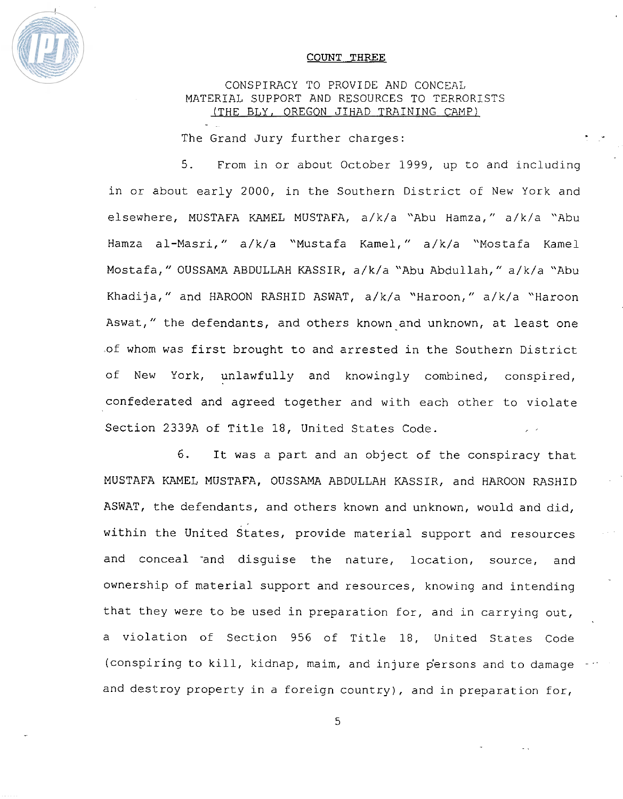

#### COUNT **THREE**

# CONSPIRACY TO PROVIDE AND CONCEAL **MATERIAL** SUPPORT **AND** RESOURCES TO TERRORISTS (THE BLY, **OREGON JIHAD TRAINING** CAMP)

The Grand Jury further charges:

5. From in or about October 1999, up to and including in or about early 2000, in the Southern District of New York and elsewhere, MUSTAFA KAMEL **MUSTAFA,** a/k/a "Abu Hamza, " a/k/a "Abu Hamza a1-Masri," a/k/a "Mustafa Kamel," a/k/a "Mostafa Kame1 Mostafa, " OUSSAMA ABDULLAH **KASSIR,** a/k/a "Abu Abdullah, " a/k/a "Abu Khadi ja, " and HAROON **RASHID** ASWAT, a/k/a "Haroon, " a/k/a "Haroon Aswat," the defendants, and others known and unknown, at least one of whom was first brought to and arrested in the Southern District of New York, unlawfully and knowingly combined, conspired, confederated and **agreed** together and with each other to violate Section **2339A** of Title 18, United States Code.

6. It was a part and an object of the conspiracy that MUSTAFA KAMEL MUSTAFA, OUSSAMA **ABDULLAH** KASSIR, and HAROON **RASHID**  ASWAT, the defendants, and others known and unknown, would and did, within the United states, provide material support and resources and conceal and disguise the nature, location, source, and ownership of material support and resources, knowing and intending that they were to be used in preparation for, and in carrying out, a violation of Section 956 of Title 18, United States Code (conspiring to kill, kidnap, maim, and injure persons and to damage and destroy property in a foreign country), and in preparation for,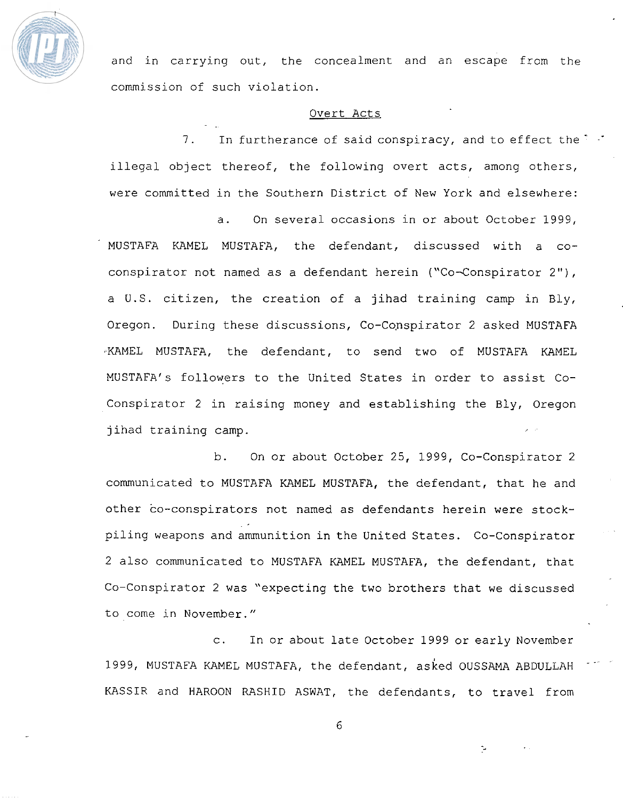

and in carrying out, the concealment and an escape from the commission of such violation.

# Overt **Acts**

7. In furtherance of said conspiracy, and to effect the  $\ddot{\phantom{1}}$ illegal abject thereof, the following overt acts, among others, were committed in the Southern District of New York and elsewhere:

a. On several occasions in ox about October 1999, MUSTAFA **KAMEL** MUSTAFA, the defendant, discussed with a coconspirator not named as a defendant **herein** ("Co-Conspirator 2"), a U.S. citizen, the creation of a jihad training camp in Bly, Oregon. During these discussions, Co-Conspirator 2 asked MUSTAFA **3KAMEL** MUSTAFA, the defendant, to send two of MUSTAFA KAMEL MUSTAFAfs followers to the United States in order to assist Coconspirator 2 in raising money and establishing the **Bly,** Oregon jihad training **camp.** 

b. On or about October 25, 1999, Co-Conspirator 2 communicated to **MUSTAFA** KAMEL MUSTAFA, **the** defendant, that he and other co-conspirators **not** named as defendants herein were stockpiling weapons and ammunition in the United States. Co-Conspirator 2 also communicated to MUSTAFA KAMEL MUSTAFA, the defendant, that Co-Conspirator 2 was "expecting the two brothers that we discussed to come in November."

c. In or about late October 1999 or early November 1999, MUSTAFA KAMEL MUSTAFA, the defendant, asked OUSSAMA ABDULLAH **KASSIR** and HAROON **RASHID** ASWAT, the defendants, to travel from

6

ب-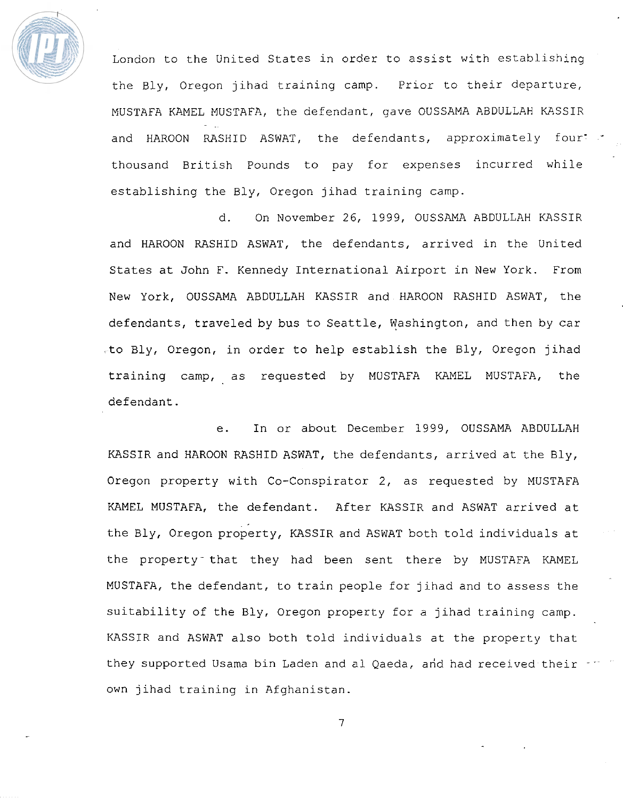

London to the United States in order to assist with establishing the Bly, Oregon jihad training camp. Prior to their departure, MUSTAFA KAMEL MUSTAFA, the defendant, gave OUSSAMA ABDULLAH KASSIR and HAROON RASHID ASWAT, the defendants, approximately four"  $\cdot$ thousand British **Pounds** to pay for expenses incurred while establishing the Bly, Oregon jihad training camp.

d. On November 26, 1999, OUSSAMA ABDULLAH KASSIR and HAROON RASHID ASWAT, the defendants, arrived in the United States at John F. Kennedy International Airport in New York. **From**  New York, OUSSAMA ABDULLAH KASSIR and HAROON **RASHID** ASWAT, the defendants, **traveled** by bus to Seattle, Washington, and then by car .to Bly, Oregon, in order to help establish the **Bly,** Oregon jihad training camp, as requested by **MUSTAFA** KAMEL MUSTAFA, the defendant.

**e. In or** about December 1999, OUSSAMA ABDULLAH KASSIR and HAROON **RASKID** ASWAT, the defendants, arrived at the Bly, Oregon property with Co-Conspirator 2, as requested by MUSTAFA **WlMEL MUSTAFA,** the defendant. **After** KASSIR and ASWAT arrived at **the** Bly, Oregon property, KASSIR and ASWAT both told individuals at the property<sup>-</sup> that they had been sent there by MUSTAFA KAMEL **MUSTAFA,** the defendant, to train people for jihad and to assess the suitability of the Bly, **Oregon** property for a jihad training camp. KASSIR and ASWAT also both told individuals at the property that they supported Usama bin Laden and al Qaeda, and had received their own jihad training in Afghanistan.

 $\overline{7}$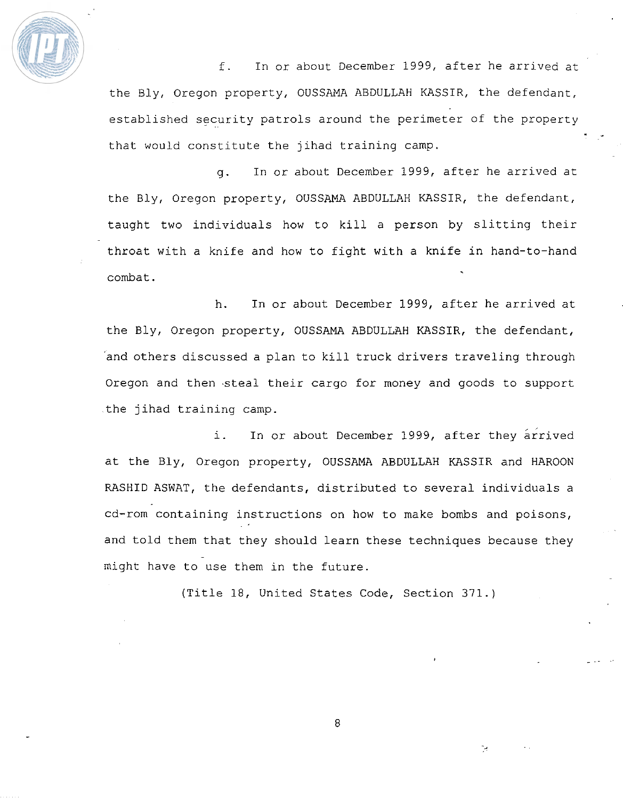

f. In or about December 1999, after he arrived at the **Bly,** Oregon property, OUSSAMA ABDULLAH KASSIR, the defendant, established security patrols around the perimeter of the property that would constitute the jihad training camp.

- \*

g. In or about December 1999, after he arrived at the Bly, Oregon property, OUSSAMA ABDULLAH KASSIR, the defendant, taught two individuals how to kill a person by slitting their throat with a knife and how to fight with a **knife** in hand-to-hand combat.

h. In or about December 1999, after he arrived at the Bly, Oregon property, OUSSAMA ABDULLAH KASSIR, the defendant, 'and others discussed a plan to kill truck drivers traveling through Oregon and then "steal their cargo for money and goods to support the jihad training camp.

i. In or about December 1999, after they arrived at the Bly, Oregon property, OUSSAMA ABDULLAH KASSIR and HAROON **RASHID** ASWAT, the defendants, distributed to several individuals a cd-rorn containing instructions on how to make bombs and poisons, and told them that they should learn these techniques because they might have to use them in the future.

(Title 18, United States Code, Section 371.)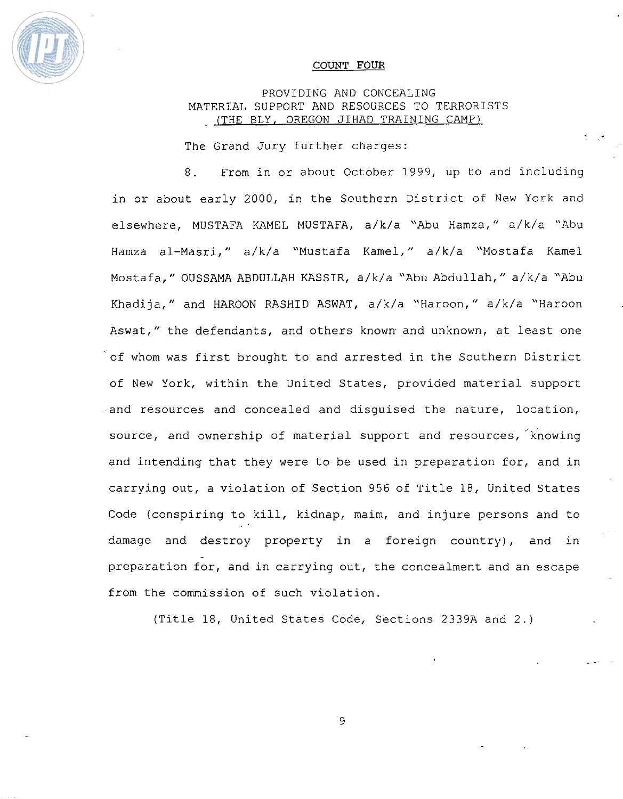

#### COUNT **FOUR**

# PROVIDING AND CONCEALING MATERIAL SUPPORT **AND** RESOURCES TO TERRORISTS - **(THE BLY,** OREGON **JIHAD TRAINING CAMP)**

The Grand Jury further charges:

8. From in or about October 1999, up to and including in or about early 2000, in **the** Southern District of New York and elsewhere, MUSTAFA KAMEL MUSTAFA, a/k/a "Abu Hamza," a/k/a "Abu Hamza al-Masri," a/k/a "Mustafa Kamel," a/k/a "Mostafa Kame1 Mostafa," OUSSAMA **ABDULLAH** KASSIR, a/k/a "Abu Abdullah," a/k/a "Abu Khadi ja, " and **HAROON RASHID** ASWAT, a/k/a "Haroon, " a/k/a "Haroon Aswat,'' the defendants, and others known- and unknown, at least one of whom was first brought to and arrested in the Southern District of New York, within the United States, provided material support and resources and concealed and disguised the nature, location, and resources and conceared and disguised the nature, rocation,<br>source, and ownership of material support and resources, Knowing and intending that they were to be used in preparation for, and in carrying out, a violation of Section 956 of Title 18, United States Code (conspiring to kill, kidnap, maim, and injure persons and to damage and destroy property in a foreign country), and in preparation for, and in carrying out, the concealment and an escape from the commission of such violation.

(Title 18, United States Code, Sections 2339A and 2.)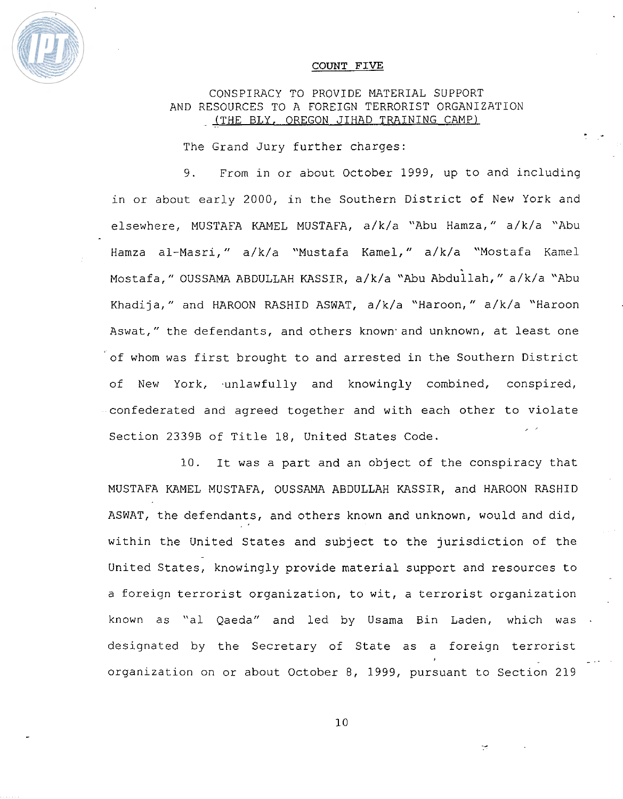

#### COUNT **FIVE**

# CONSPIRACY TO PROVIDE MATERIAL SUPPORT **AND** RESOURCES TO A FOREIGN TERRORIST ORGANIZATION - (THE BLY, OREGON JIHAD TRAINING **CAMP)**

 $\frac{1}{2}$ 

The Grand Jury further charges:

9. From in or about October 1999, up to and including in or about early 2000, in the Southern District of New York and elsewhere, MUSTAFA KAMEL MUSTAFA, a/k/a "Abu Hamza," a/k/a "Abu Hamza al-Masri," a/k/a "Mustafa Kamel," a/k/a "Mostafa Kamel Mostafa," OUSSAMA ABDULLAH KASSIR, a/k/a "Abu Abdullah," a/k/a "Abu Khadija," and HAROON RASHID ASWAT, a/k/a "Haroon," a/k/a "Haroon Aswat," the defendants, and others known-and unknown, at least one of whom was first brought to and arrested in the Southern District of New York, unlawfully and knowingly combined, conspired, confederated and agreed together and with each other to violate **I J'**  Section 23398 of Title 18, United States Code.

10. It was a part and an object of the conspiracy that MUSTAFA KAMEL MUSTAFA, OUSSAMA ABDULLAH KASSIR, **and HAROON** RASHID ASWAT, the defendants, and others known and unknown, would and did, within the United States and **subject** to the jurisdiction of the United States, knowingly provide material support and resources to a foreign terrorist organization, to wit, a terrorist organization known as "a1 Qaeda" and led by Usama Bin Laden, which was designated by the Secretary of State as a foreign terrorist *<sup>I</sup>*- . organization on or about October 8, 1999, pursuant to Section 219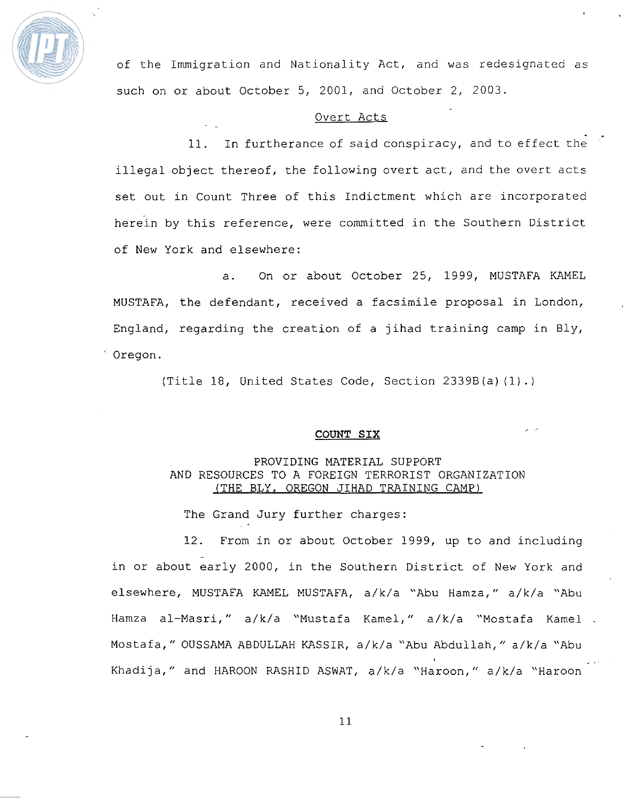

of the Imrnigra'cion and Nationality **Act,** and was **redesignated** as such on or about October 5, 2001, and October 2, 2003.

# Overt Acts

11. In furtherance of said conspiracy, and to effect the illegal object thereof, the following overt act, and the overt acts set out in **Count** Three of **this** Indictment **which** are incorporated herein by this reference, were committed in the Southern District of New York and elsewhere:

a. On or about October 25, 1999, MUSTAFA KAMEL MUSTAFA, the defendant, received a facsimile proposal in London, England, **regarding** the creation of a jihad **training** camp in **Bly,**  Oregon.

(Title 18, United States Code, Section **2339B** (a) (1) . )

# COUNT **SIX** , ,

# PROVIDING MATERIAL SUPPORT **AND** RESOURCES TO A FOREIGN TERRORIST ORGANIZATION (THE BLY, OREGON JIHAD TRAINING CAMP)

The Grand Jury further charges:

12. From in or about October 1999, up to and including in or about early 2000, in the Southern District of New York and elsewhere, MUSTAFA KAMEL MUSTAFA, **a/k/a** "Abu Hamza," a/k/a **"Abu**  Hamza dl-Masri," a/k/a "Mustafa Kamel," **a/k/a** "Mostafa Kamel - Mostafa, " OUSSAMA ABDULLAH KASSIR, a/k/a "Abu Abdullah, " **a/k/a** "Abu **<sup>I</sup>**". Khadi ja, " and HAROON RASHID ASWAT, a/ k/a "Haroon, " a/ k/a "Haroon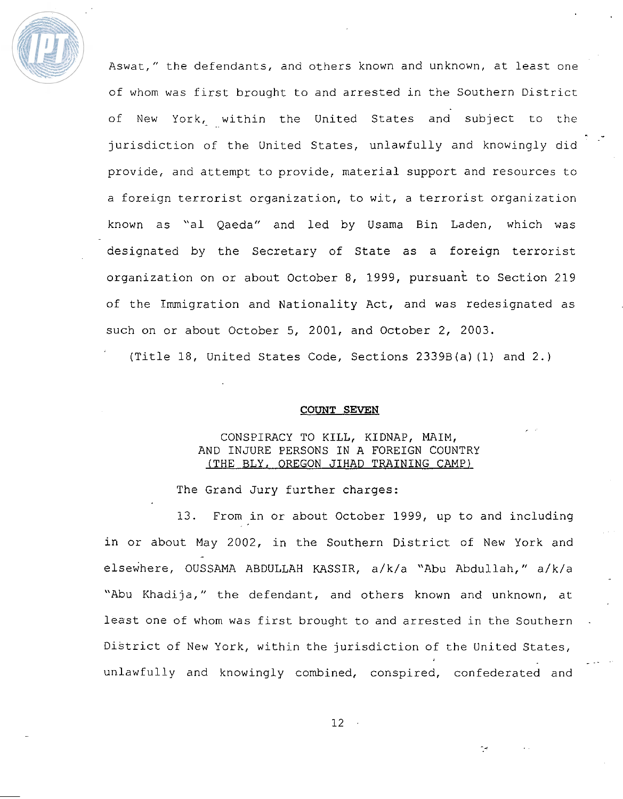

Aswat," the defendants, and others known and unknown, at least one of whom was first brought to and arrested in the Southern District of New York, within the United States and subject to the jurisdiction of the United States, unlawfully and knowingly did provide, and attempt to provide, material support and resources to a foreign terrorist organization, to wit, a terrorist organization known as **"a1** Qaeda" and led by Usama Bin Laden, which was designated by the Secretary of State as a foreign terrorist organization on or about October 8, 1999, pursuant to Section 219 of the Immigration and Nationality Act, and was redesignated as such on or about October 5, 2001, **and** October 2, 2003.

- **I** 

(Title 18, United States Code, Sections 2339B(a) **(1)** and 2.)

#### **COUNT SEVEN**

# **CONSPIRACY TO KILL, KIDNAP, MAIM,**  AND **INJURE PERSONS** IN **A FOREIGN COUNTRY (THE** BLY, **OREGON JIHAD TRAINING CAMP)**

The Grand **Jury** further charges:

13. From in or about October 1999, up to and including in or about May 2002, in the Southern District of New York and elsewhere, OUSSAMA **ABDULLAH KASSIR,** a/k/a "Abu Abdullah," a/k/a "Abu Khadija," the defendant, and others known and unknown, at: **least** one of whom was first brought to and arrested in the Southern District of New York, within the jurisdiction of the United States, **<sup>1</sup>**\_ \_- " unlawfully and knowingly combined, conspired, confederated and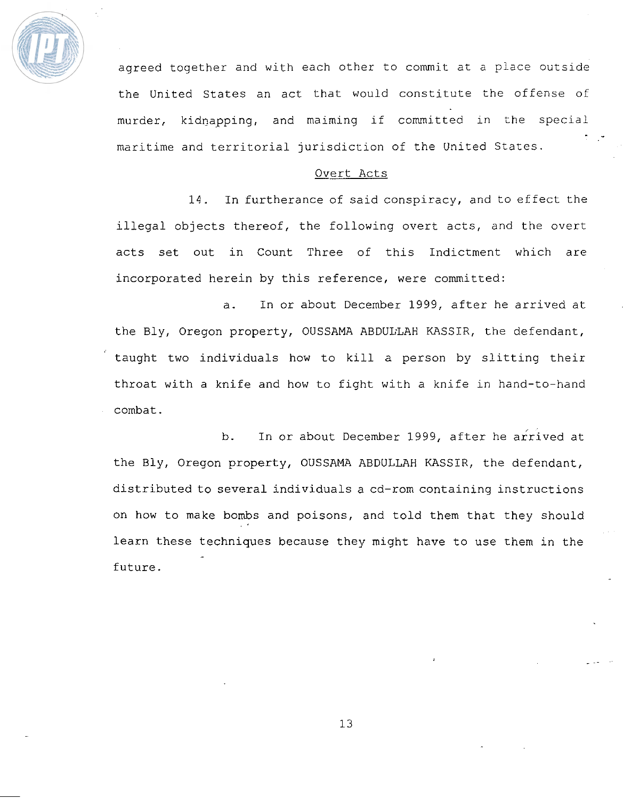

agreed together and with each other to commit at a place outside the United States an act that would constitute the offense of murder, kidnapping, and maiming if committed in the special<br>maritime and territorial jurisdiction of the United States. maritime and territorial jurisdiction of the United States.<br>Overt Acts

14. In furtherance of said conspiracy, and to effect the illegal objects thereof, the following overt acts, and **the** overt **acts set** out in Count Three of this Indictment which are incorporated herein by this reference, were **committed:** 

a. In or about December 1999, **after** he arrived at the Bly, Oregon property, OUSSAMA ABDULLAH KASSIR, the defendant, taught two individuals **how** to kill a person by slitting their throat with a **knife and** how to fight with a knife in hand-to-hand combat.

b. In or about December 1999, after he arrived at the Bly, Oregon property, OUSSAMA ABDULLAH KASSIR, the defendant, distributed to several individuals a cd-rom containing instructions on how to **make** bombs and poisons, and told them that they should learn these techniques because they **might** have to **use** them in the future.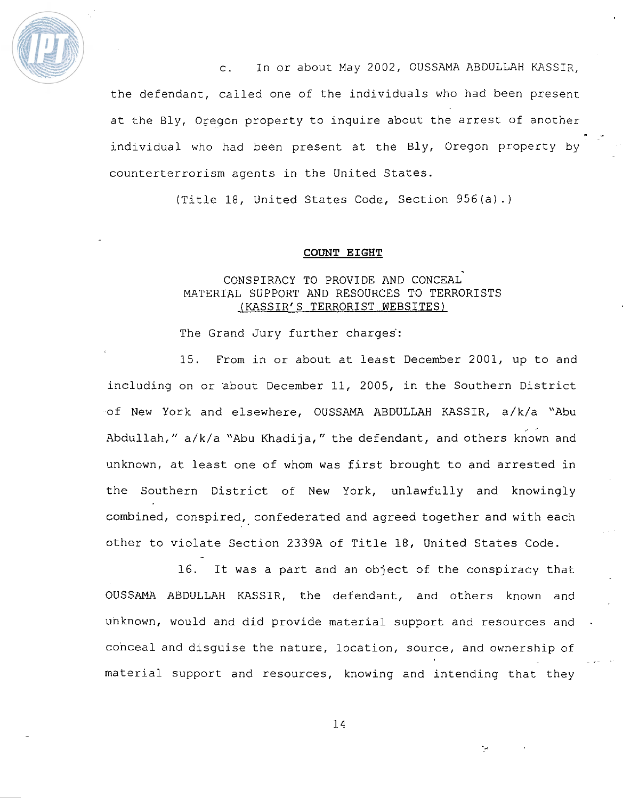

c. In or about May 2002, OUSSAMA ABDULLAH KASSIZ, the defendant, called one of the individuals who had been presenr at the Bly, Oregon property to inquire about the arrest of another individual who had been present at the Bly, Oregon property by counterterrorism agents in the United States.

" \*

(Title 18, United States Code, Section 956 (a) .)

#### **COUNT EIGHT**

# . CONSPIRACY TO PROVIDE **AND** CONCEAL MATERIAL SUPPORT **AND** RESOURCES TO TERRORISTS (KASSIR' S TERRORIST **WEBSITES)**

The Grand Jury further charges:

15. From in or about at least December 2001, up to and including on or about December 11, 2005, in the Southern District of New York and elsewhere, OUSSAMA **ABDULLAH** KASSIR, a/k/a **"Abu**  Abdullah," a/k/a "Abu Khadija," the defendant, and others known and unknown, at least one of whom was first brought to and arrested in the Southern District of New York, unlawfully and knowingly combined, conspired, confederated and agreed together and with each other to violate Section **2339A** of Title 18, United **States** Code. -

16. It was a part and an object of the conspiracy that OUSSAMA **ABDULLAH** KASSIR, the defendant, and others known and unknown, would and did provide material support and resources and conceal and disguise the nature, location, source, and ownership of *<sup>I</sup>*\_ **-7** . material support and resources, knowing and intending that they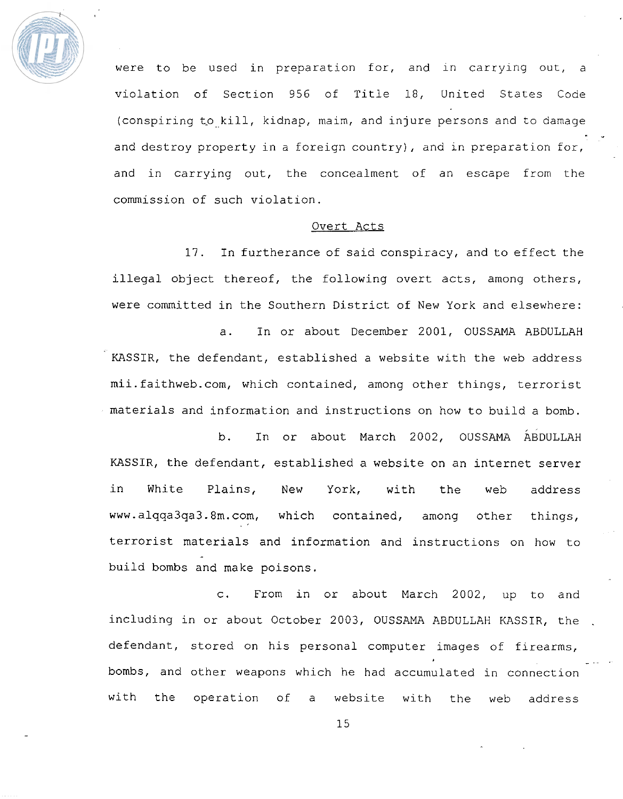

were to be used in preparation for, and in carrying out, a violation of Secrion 956 of Title **18,** United States Code (conspiring to kill, kidnap, maim, and injure persons and to damage " \* and destroy property in a foreign country), and in preparation for, and in carrying out, the concealment of an escape from the commission of such violation.

#### Overt Acts

17. In furtherance of said conspiracy, and to effect the illegal object thereof, the following overt acts, among others, were committed in the Southern District of New York and elsewhere:

a. In or about December 2001, OUSSAMA ABDULLAH KASSIR, the defendant, established a website with the web address mii.faithweb.com, which contained, among other things, terrorist materials and information and instructions on how to build a bomb.

b. In or about March 2002, OUSSAMA ABDULLAH KASSIR, the defendant, established a website on an internet server in White Plains, **New** York, with the web address www.alqqa3qa3.8rn.com, which contained, among other things, terrorist materials and information and instructions on how to build bombs and make poisons.

**c.** From in or about March 2002, up to and including in or about October 2003, OUSSAMA ABDULLAH KASSIR, the . defendant, stored on his personal computer images of firearms, bombs, and other weapons which he had accumulated in connection with the operation of a website with the web address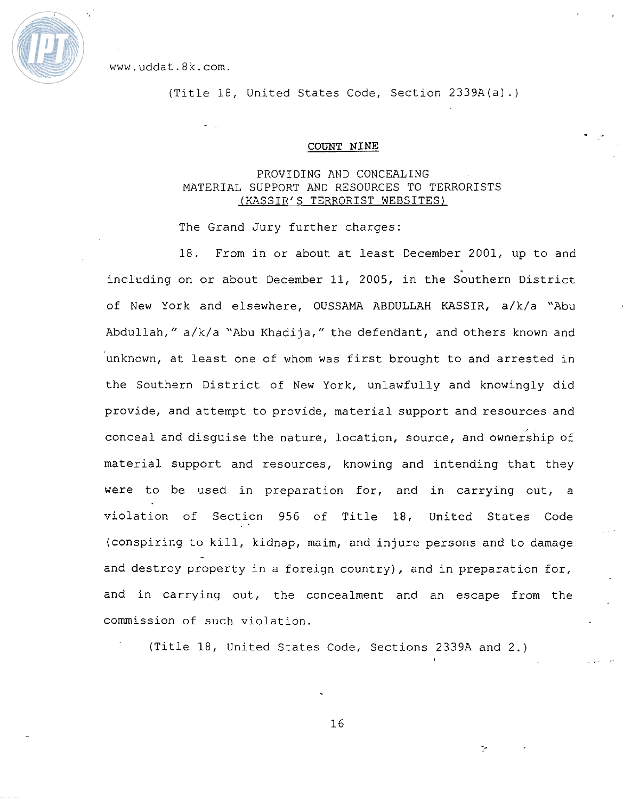

www.uddat.8k.com.

(Title 18, United States Code, Section **2339A(a)** .)

#### **COUNT NINE**

# **PROVIDING AND CONCEALING MATERIAL** SUPPORT **AND RESOURCES** TO **TERRORISTS**  (KASSIR' S **TERRORIST WEBSITES)**

The Grand Jury further charges:

18. From in or about at least December 2001, up to and including on or about December 11, 2005, in the Southern District of New York and elsewhere, OUSSAMA ABDULLAH **KASSIR,** a/k/a "Abu Abdullah, " **a/k/a** "Abu Khadija, " the defendant, and others known and unknown, at least one of whom was first brought to and arrested in the Southern District of New York, unlawfully and knowingly did provide, and attempt to provide, material support and resources and conceal and disguise the nature, location, **source,** and ownership of material support and resources, knowing **and** intending that they were to be used in preparation for, and in carrying out, a violation of Section 956 of Title 18, United States Code {conspiring to **kill,** kidnap, maim, and injure persons and to damage and destroy property in a **foreign** country), and in preparation for, and in carrying out, the concealment and an escape from the commission of such violation.

(Title 18, United States Code, Sections **2339A** and 2.)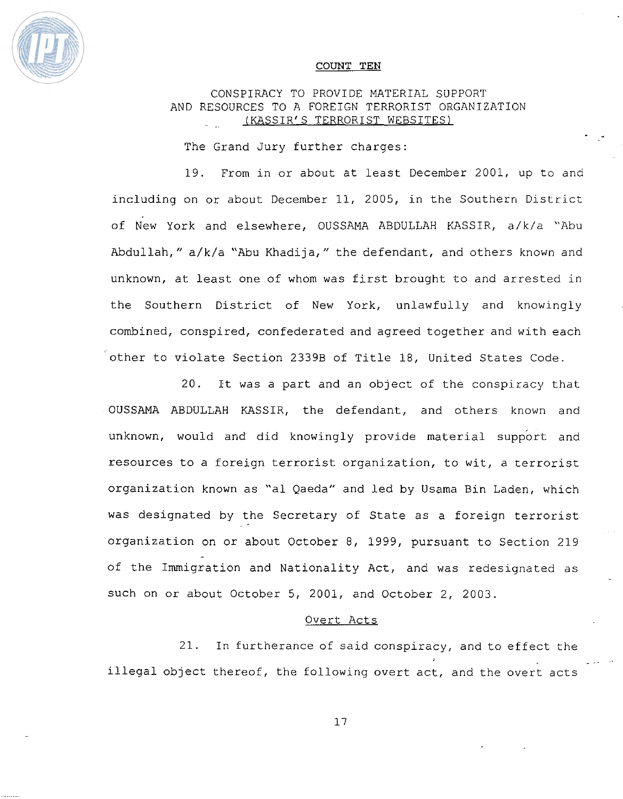

#### **COUNT TEN**

# CONSPIRACY TO PROVIDE MATERIAL SUPPORT AND RESOURCES TO A FOREIGN TERRORIST ORGANIZATION (KASSIR'S TERRORIST WEBSITES)

**1)** 

The Grand Jury further charges:

19. From **in** or about at least December 2001, up to and including on or about December 11, 2005, **in** the Southern **District**  of New York and elsewhere, OUSSAMA ABDULLAH KASSIR, a/k/a "Abu Abdullah," a/k/a "Abu Khadija," the defendant, and others known and unknown, at least one of whom was first brought to and arrested in the Southern District of New York, unlawfully and knowingly combined, conspired, confederated and agreed together and with each other to violate Section **2339B** of Title 18, United States Code.

20. It **was** a part and an object of the conspiracy that OUSSAMA **ABDULLAH** KASSIR, the defendant, and others known and unknown, would and did knowingly provide material support and resources to a foreign terrorist organization, to wit, a terrorist organization known as **"a1** Qaeda" and **led** by Usama **Bin** Laden, which was designated by the Secretary of State as a foreign terrorist organization on or about October 8, 1999, pursuant to Section 219 of the Immigration and Nationality Act, and was redesignated as such on or about October 5, 2001, and October 2, 2003.

#### Overt Acts

21. In furtherance of said conspiracy, and to effect the **<sup>I</sup>**\_\_- **"I**  illegal object thereof, the following overt **act,** and the overr acts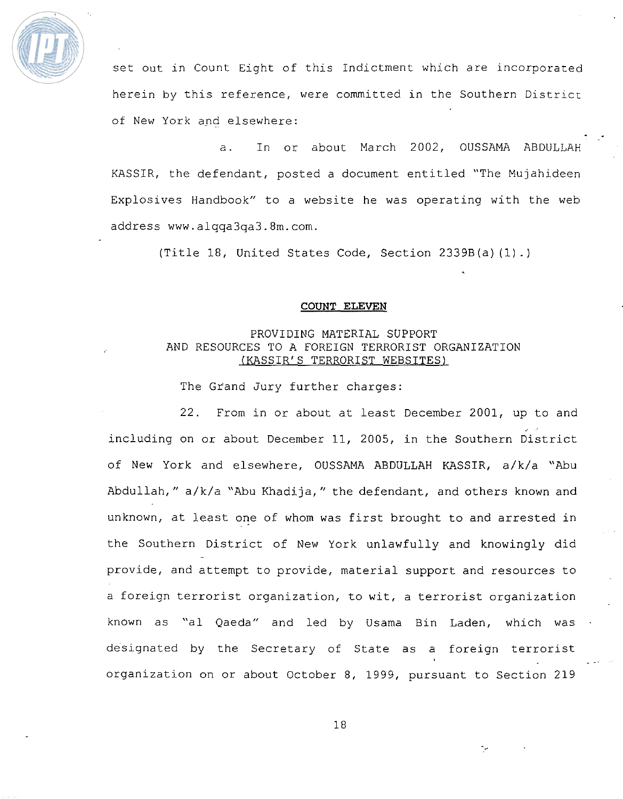

set out in Count Eight of this Indictment which are incorporated herein by this reference, were committed in the Southern **Districr**  of New York and elsewhere:

- \*

a. In or about March 2002, OUSSAMA ABDULLAH KASSIR, the defendant, posted a document entitled "The Mujahideen Explosives Handbook" to a website he was operating with the web address www.alqqa3qa3.8m.com.

(Title 18, United States Code, Section **2339B(a)** (1) .)

#### **COUNT ELEVEN**

# PROVIDING MATERIAL SUPPORT AND RESOURCES TO A FOREIGN TERRORIST ORGANIZATION **(KASSIR'** S TERRORIST WEBSITES)

The Grand Jury further charges:

22. From in or about at least December 2001, up to and  $\frac{1}{2}$ including on or about December 11, 2005, in the Southern District of New York and elsewhere, OUSSAMA ABDULLAH KASSIR, **a/k/a** "Abu **Abdullah,"** a/k/a "Abu Khadija," the defendant, and others known and unknown, at least one of whom was first brought to and arrested in the Southern District of New York unlawfully and knowingly did provide, and attempt to provide, material support and resources to a foreign terrorist organization, to wit, a terrorist organization known as "al Qaeda" and led by Usama Bin Laden, which was designated by the Secretary of State as a foreign terrorist organization on or about October 8, 1999, pursuant to Section 219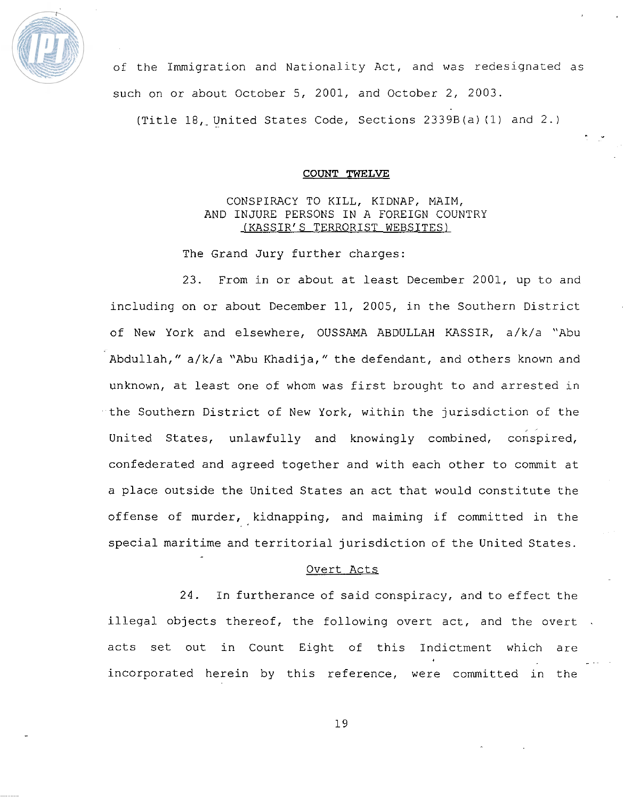

of the Immigration and Nationality Act, and was redesignated as such on or about October 5, 2001, and October 2, 2003.

(Title **18,-** United States Code, Sections 2339B(a) **(1)** and 2.)

#### **COUNT TWELVE**

# CONSPIRACY TO KILL, KIDNAP, MAIM, AND INJURE PERSONS IN A FOREIGN COUNTRY (KASSIR'S TERRORIST WEBSITES)

The Grand Jury further charges:

23. From in or about at least December 2001, up to and including on or about December 11, 2005, in the Southern District of New York and elsewhere, OUSSAMA ABDULLAH KASSIR, a/k/a "Abu Abdullah," a/k/a "Abu Khadija," the defendant, and others known and unknown, at least one of whom was first brought to and arrested in the Southern District of New York, within the jurisdiction of the United States, unlawfully and knowingly combined, conspired, confederated and agreed together and with each other to commit at a place outside the United States an act that would constitute the offense of murder, kidnapping, and maiming if committed in the special maritime and territorial jurisdiction of the United States.

#### Overt Acts

24. In furtherance of said conspiracy, and to effect the illegal objects thereof, the following overt act, and the overt acts set out in Count Eight of this Indictment which are *<sup>I</sup>*- - incorporated herein by this reference, were committed in the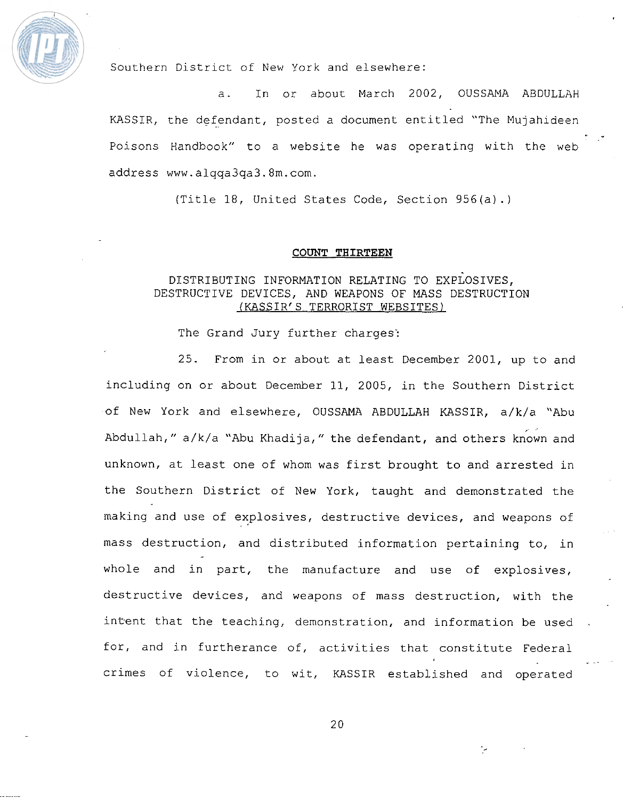

Southern District of New York and elsewhere:

a. In or about March 2002, OUSSAMA ABDULLAH KASSIR, the defendant, posted a document entitled "The Mujahideen Poisons Handbook" to a website he was operating with the web address www.alqqa3qa3.8m.com.

\* .

(Title 18, United States Code, Section 956(a) . )

#### COUNT **TRIRTEEN**

# DISTRIBUTING INFORMATION RELATING TO EXPLOSIVES, DESTRUCTIVE DEVICES, AND WEAPONS OF MASS DESTRUCTION (KASSIR'S TERRORIST WEBSITES)

The Grand Jury further charges:

25. **From** in or about at least December 2001, up to and including on or about December 11, 2005, in the Southern District of New York and elsewhere, OUSSAMA ABDULLAH KASSIR, **a/k/a** "Abu ,< Abdullah, " a/k/a **"Abu** Khadija, " the defendant, and others known and unknown, at least one of whom was first brought to and arrested in the Southern District of New York, taught and demonstrated the making and use of explosives, destructive devices, and weapons of mass destruction, and distributed information pertaining to, in whole and in part, the manufacture and use of explosives, destructive devices, and weapons of mass destruction, with the intent that the teaching, demonstration, and information be used for, and in furtherance of, activities that constitute Federal **<sup>I</sup>**- -. crimes of violence, to wit, KASSIR established and operated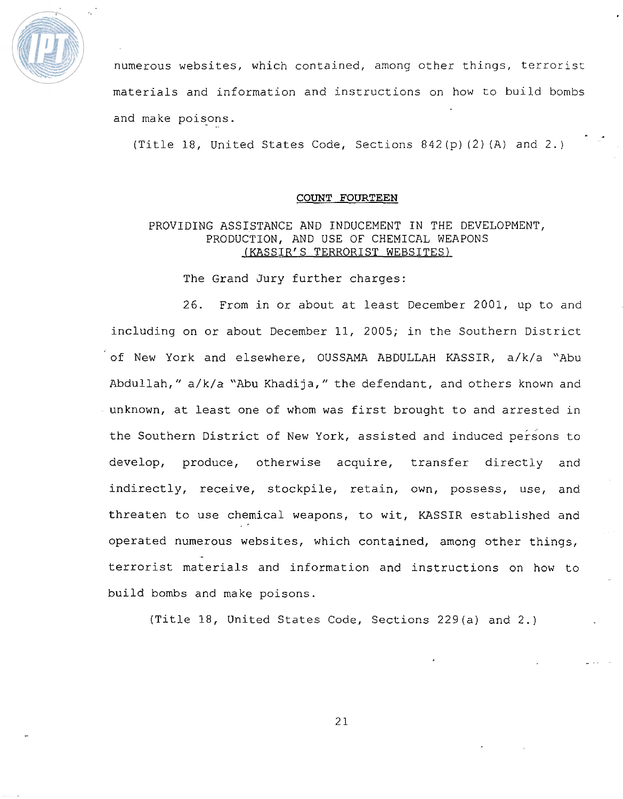

numerous websites, which contained, among other things, terrorist materials and information and instructions on how to build bombs and make poisons.

(Title 18, United States Code, Sections 842 (p) (2) (A) and 2.)

 $\frac{1}{2}$ 

#### **COUNT FOURTEEN**

# PROVIDING ASSISTANCE AND INDUCEMENT IN THE DEVELOPMENT, PRODUCTION, AND USE OF CHEMICAL WEAPONS (KASSIR'S TERRORIST **WEBSITES)**

The Grand Jury further charges:

26. From in or about at least December 2001, up to and including on or about December 11, 2005; in the Southern District of New York and elsewhere, OUSSAMA ABDULLAH KASSIR, a/k/a "Abu Abdullah, " a/k/a "Abu Khadija, " the defendant, and others known and unknown, at least one of whom was first brought to and arrested in the Southern District of New York, assisted and induced persons to develop, produce, otherwise acquire, transfer directly and indirectly, receive, stockpile, retain, own, possess, use, and threaten to use chemical weapons, to wit, KASSIR established and operated numerous websites, which contained, among other things, terrorist materials and information and instructions on how to build bombs and make poisons.

(Title 18, United States Code, Sections 229 (a) and 2. )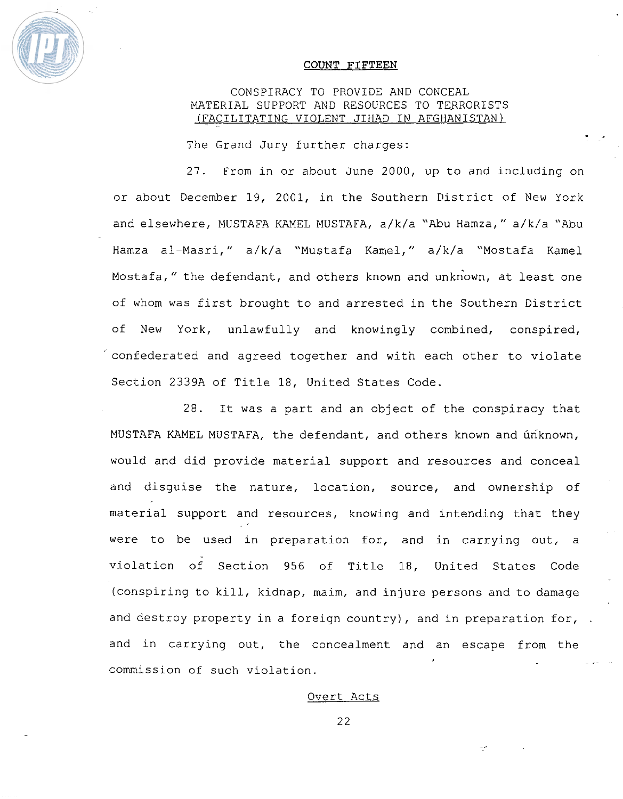

#### **COUNT FIFTEEN**

# CONSPIRACY TO PROVIDE AND CONCEAL MATERIAL SUPPORT AND RESOURCES TO TERRORISTS (FACILITATING VIOLENT JIHAD IN AFGHANISTAN)

 $\frac{1}{2}$ .

The Grand Jury further charges:

27. From in or about June 2000, up to and including on or about December 19, 2001, in the Southern District of New York and elsewhere, **MUSTAEA** KAMEL MUSTAFA, a/k/a "Abu Hamza, " **a/k/a** "Abu Hamza al-Masri," a/k/a "Mustafa Kamel," a/k/a "Mostafa Kamel Mostafa," the defendant, and others known and unknown, at least one of whom was first brought to and arrested in the Southern District of New York, unlawfully and knowingly combined, conspired, ' confederated and agreed together and with each other to violate Section **2339A** of Title 18, United States Code.

28. It **was** a part and an object of the conspiracy that **MUSTAFA** KAMEL MUSTAFA, the defendant, and others known and unknown, would and did provide material support and resources and conceal and disguise the nature, location, source, and ownership of material support and resources, knowing and intending that **they**  were to be used in preparation for, and in carrying out, a violation of Section 956 of Title 18, United States Code (conspiring to kill, kidnap, maim, and injure persons and to damage and destroy property in a foreign country), and in preparation for,  $\cdot$ and in **carrying** out, the concealment and an escape from the **<sup>L</sup>**- - commission of such violation.

#### Overt Acts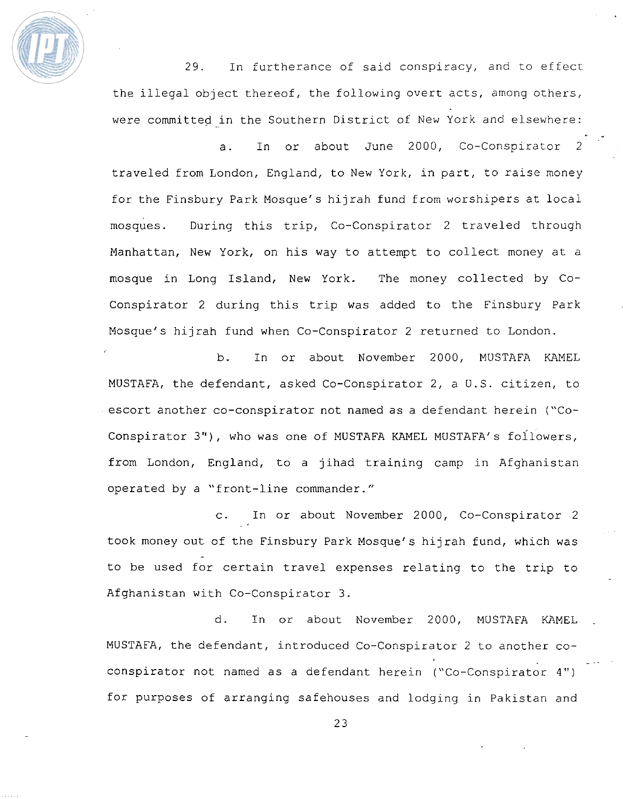

29. In furtherance of said conspiracy, and to effecr the illegal object thereof, the following overt **acts,** among others, were committed in the Southern District of New York and elsewhere:

\* -

a. In or about June 2000, Co-Conspirator 2 traveled from London, England, to New York, in part, to raise money for the Finsbury Park Mosque's hijrah fund from worshipers ac local mosques. During this trip, Co-Conspirator 2 traveled through Manhattan, New York, on his way to attempt to collect money at a mosque in Long Island, New York. The money collected by Co-Conspirator 2 during this trip was added to the Finsbury Park Mosque's hijrah fund **when** Co-Conspirator 2 returned to London.

b. In or about November 2000, MUSTAFA **KAMEL**  MUSTAFA, the defendant, asked Co-Conspirator 2, a U.S. citizen, to escort another co-conspirator not named as a defendant herein ("Coconspirator **3")** , who was one of MUSTAFA KAMEL MUSTAFA' s foilowers, from London, England, to a jihad training camp in Afghanistan operated by a "front-line commander."

c. In or about November 2000, Co-Conspirator 2 took money out of the Finsbury Park Mosquef s hijrah fund, which **was**  to be used for certain travel expenses relating to the trip to Afghanistan with Co-Conspirator 3.

d. In or about November 2000, MUSTAFA KAMEL MUSTAFA, the defendant, introduced Co-Conspirator 2 to another co- **<sup>I</sup>**- -. conspirator not named as a defendant herein ("Co-Conspirator 4 " ) for purposes of arranging safehouses and lodging in Pakistan and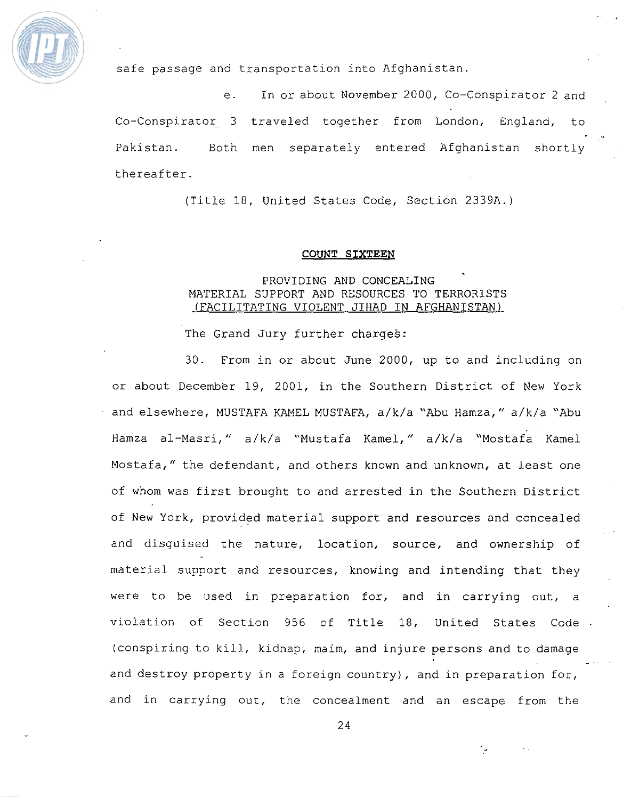

safe passage and txansportation **into** Afghanistan.

e. In or about November 2000, Co-Conspirator 2 and Co-Conspirataq. 3 traveled together from London, England, to " **I**  Pakistan. Both men separately entered Afghanistan shortly thereafter.

(Title 18, United States Code, Section 2339A.)

#### **COUNT SIXTEEN**

# **PROVIDING** AND **CONCEALING**  MATERIAL SUPPORT **AND** RESOURCES TO TERRORISTS (FACILITATING VIOLENT JIHAD IN AFGHANISTAN)

The Grand Jury further charges:

30. From in or about June 2000, up to and including on or about December 19, 2001, in the Southern District of New York and elsewhere, MUSTAFA KAMEL MUSTAFA, a/k/a **"Abu** Wamza, " a/k/a "Abu Hamza al-Masri," a/k/a "Mustafa Kamel," a/k/a "Mostafa Kamel Mostafa," the defendant, and others known and unknown, at least one of whom was first brought to and arrested in the Southern District of **New** York, provided material support and resources and concealed and disguised the nature, location, source, **and** ownership of material support and resources, knowing and intending that they were to be used in preparation for, and in carrying out, a violation of Section 956 of Title 18, United States Code -(conspiring to kill, kidnap, maim, and injure persons and to damage and destroy property in a foreign country), and in preparation for, and in carrying out, the concealment and an escape from the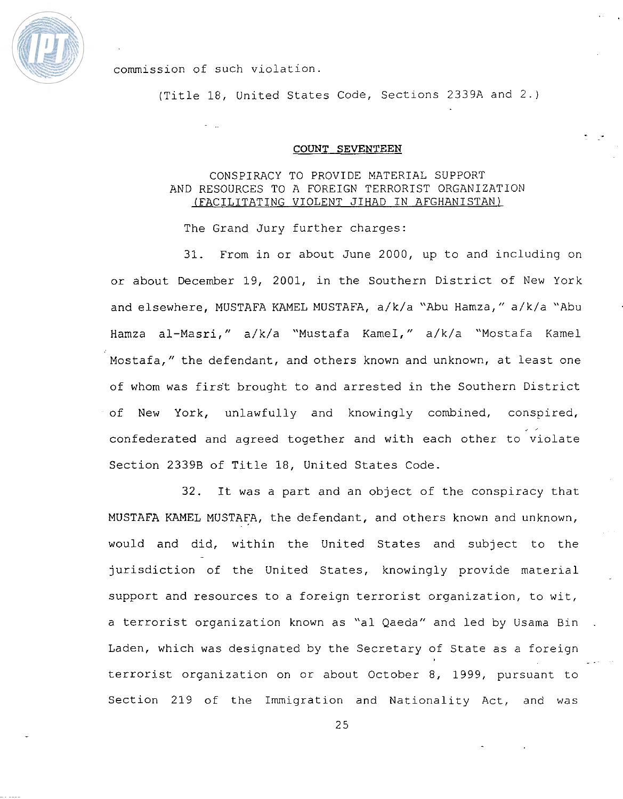

commission of such violation.

(Title 18, United States Code, Sections 2339A and 2.)

#### COUNT **SEVENTEEN**

# **CONSPIRACY TO PROVIDE MATERIAL SUPPORT AND RESOURCES TO A FOREIGN** TERRORIST **ORGANIZATION (FACILITATING VIOLENT JIHAD IN AFGHANISTAN)**

The Grand Jury further charges:

31. From in or about June 2000, up to and including on or about December 19, 2001, in the Southern District of New York and elsewhere, **MUSTAFA KAMEL** MUSTAFA, **a/k/a** "Abu Hamza, " a/k/a "Abu Hamza al-Masri, " **a/k/a** "Mustafa **KameI,** " a/k/a "Mostafa Kame1 Mostafa, " the defendant, and others known and unknown, at least one of whom was first brought to and arrested in the Southern District of New York, unlawfully and knowingly combined, conspired, confederated and agreed together and with each other to violate Section **2339B** of **Title** 18, United States Code.

32. It **was** a part and an object of the conspiracy that MUSTAFA KAMEL **MUSTAFA,** the defendant, and others known and unknown, would and did, within the United States and subject to the jurisdiction of the United States, knowingly provide material support and resources to a foreign terrorist organization, to wit, a terrorist organization known as "a1 Qaeda" and led by Usama Bin . Laden, which was designated by the Secretary of State as a foreign **<sup>L</sup>**- **terrorist** organization on or about October 8, 1999, pursuant to Section 219 of **the** Immigration and Nationality Act, and was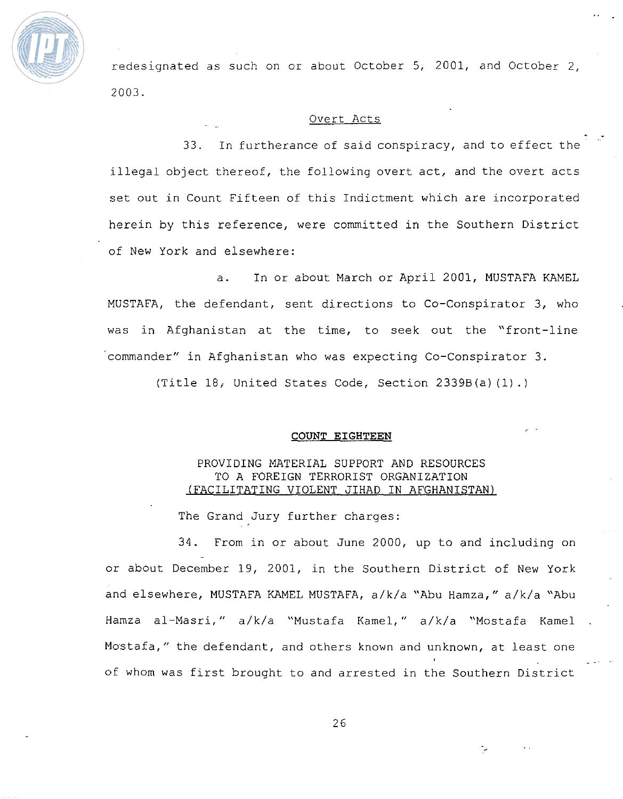

redesignated as such on or about October 5, 2001, and October 2, 2003.

#### Overt Acts

 $\frac{1}{2}$ 

**I** '

33. In furtherance of said conspiracy, and to effect the illegal object thereof, the following overt act, and the overt acts set out in Count Fifteen of this Indictment which are incorporated herein by this reference, were committed in the Southern District of New York and elsewhere:

a. In or about **March** or April 2001, MUSTAFA **KAMEL**  MUSTAFA, the defendant, sent directions to Co-Conspirator **3,** who was in Afghanistan at the time, to seek out the "front-line 'commander" in Afghanistan who was expecting Co-Conspirator 3.

(Title 18i United States Code, Section **2339B(a)** (1) .)

#### **COUNT** EIGHTEEN

# **PROVIDING** MATERIAL **SUPPORT** AND RESOURCES TO A FOREIGN TERRORIST ORGANIZATION (FACILITATING VIOLENT JIHAD IN AFGHANISTAN)

The Grand Jury further charges:

**34.** From in or about June 2000, up to and including on or about December 19, 2001, in the Southern District of New **York**  and elsewhere, MUSTAFA KAMEL MUSTAFA, a/k/a "Abu Hamza," a/k/a "Abu Hamza al-Masri," a/k/a "Mustafa Kamel," a/k/a "Mostafa Kamel Mo $\operatorname{\mathsf{stat}}$  ," the defendant, and others known and unknown, at least one **IIRIOWII, at least one** of whom was first brought to and arrested in the Southern District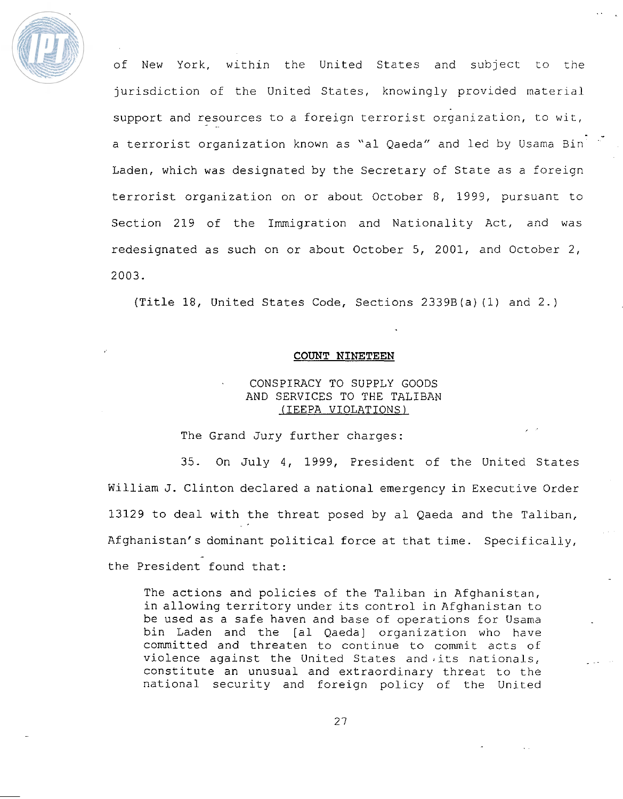

of New York, within the United States and subject to the jurisdiction of the United States, knowingly provided material support and resources to a foreign terrorist organization, to **wit,**  a terrorist organization known as "al Qaeda" and led by Usama Bin<sup>iri</sup> Laden, which was designated by the Secretary of State as a foreign terrorist organization on or about October 8, 1999, pursuant to Section 219 of the Immigration and Nationality Act, and was redesignated as such on or about October 5, 2001, and October 2, 2003.

(Title 18, United States Code, Sections 2339B(a) (1) and 2.)

#### **COUNT NINETEEN**

# CONSPIRACY TO SUPPLY GOODS **AND** SERVICES TO THE TALIBAN (IEEPA VIOLATIONS)

The Grand **Jury** further charges:

35. On July 4, 1999, President of the United States William **J.** Clinton declared a national emergency in Executive Order 13129 to deal with the threat posed by a1 Qaeda and the Taliban, Afghanistan's dominant political force at that time. Specificaliy, the President found that:

The actions and policies of the **Taliban** in Afghanistan, in allowing territory under its control in Afghanistan to be used as a safe haven and base of operations for Usama bin Laden and the [a1 Qaeda] organization who have committed and threaten to continue to commit acts of violence against the United States and its nationals, constitute an unusual and extraordinary threat to the national security and foreign policy of the United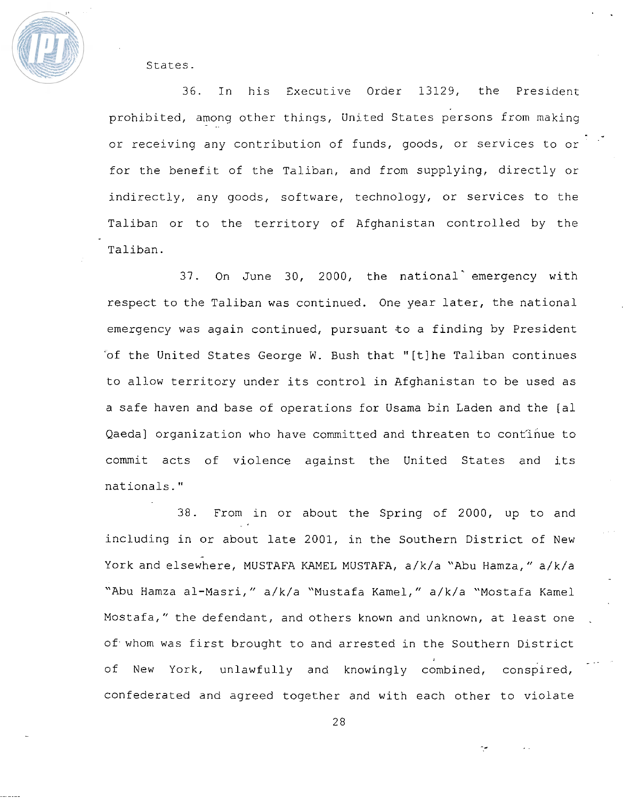

States.

36. In his Executive Order 13129, the President prohibited, among other things, United States persons from making or receiving any contribution of funds, goods, or services to or for the benefit of the Taliban, and from supplying, directly or indirectly, any goods, software, technology, or services to the Taliban or to the territory of Afghanistan controlled by the Taliban.

- **1)** 

37. On June 30, 2000, the national emergency with respect to **the** Taliban was continued. **One** year later, the national emergency **was** again continued, pursuant to a finding by President 'of the United States George W. Bush that "[tlhe Taliban continues to allow territory under its control in Afghanistan to be used as a safe haven and base of operations for Usama bin Laden and the [al Qaeda] organization who have committed and threaten to continue to commit acts of violence against the United States and its nationals."

38. From in or about the Spring of 2000, up to and including in or about late 2001, in the Southern District of New - York and elsewhere, MUSTAFA KAMEL MUSTAFA, a/k/a "Abu Hamza," a/k/a "Abu Mamza al-Masri, " a/k/a "Mustafa Kamel, " a/k/a **"Mostafa** Karnel Mostafa," the defendant, and others known and unknown, at least one of whom was first brought to and arrested in the Southern District of New York, unlawfully and knowingly combined, conspired, confederated and agreed together and with each other to violate

28

**-a** -.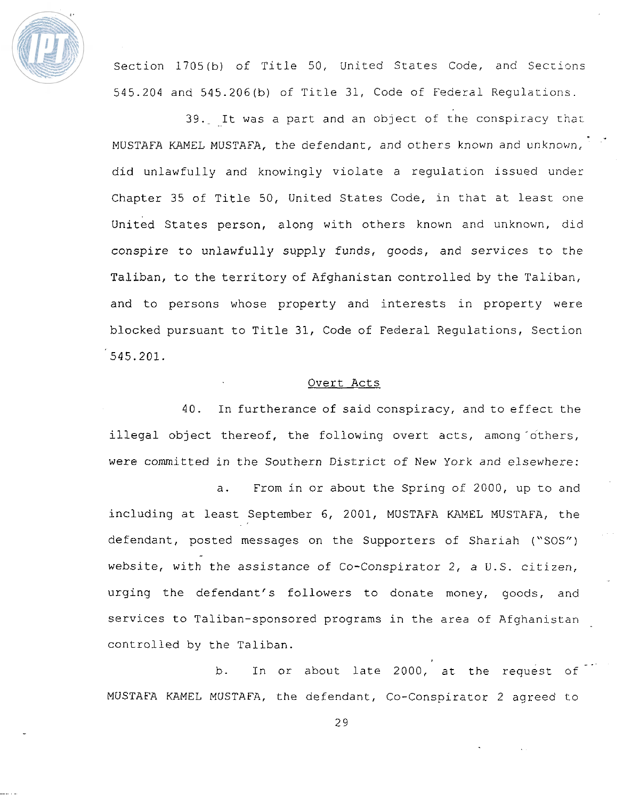

Section 1705(b) of Title 50, United States Code, and Seccions 545.204 and 545.206(b) of Title 31, Code of Federal Requlations.

39. It was a part and an object of the conspiracy that MUSTAFA **KAMEL** MUSTAFA, **the** defendant, and others known and unknown, did unlawfully and knowingly violate a regulation issued under Chapter 35 of Title 50, **United** States **Code,** in that at least one United States person, along with others known and unknown, did conspire to unlawfully supply funds, goods, and services to the Taliban, to the territory of Afghanistan controlled by the Taliban, and to persons whose property and interests in property were blocked pursuant to Title 31, Code of Federal Regulations, Section 545.201.

### Overt Acts.

40. In furtherance of said conspiracy, and to effect the illegal object thereof, the following overt acts, among others, were committed in the Southern District of New York and elsewhere:

a. From in or about **the** Spring of 2000, up to and including at least September 6, 2001, MUSTAFA **KAMEL MUSTAFA, the**  defendant, posted messages on the Supporters of Shariah ("SOS") website, with the assistance of Co-Conspirator 2, a U.S. citizen, urging the defendant's followers to donate money, goods, and services to Taliban-sponsored programs in the area of **Afghaniscan**  controlled by the **Taliban.** 

b. In or about late 2000, at the request of MUSTAFA KAMEL MUSTAFA, **the** defendant, Co-Conspirator 2 agreed to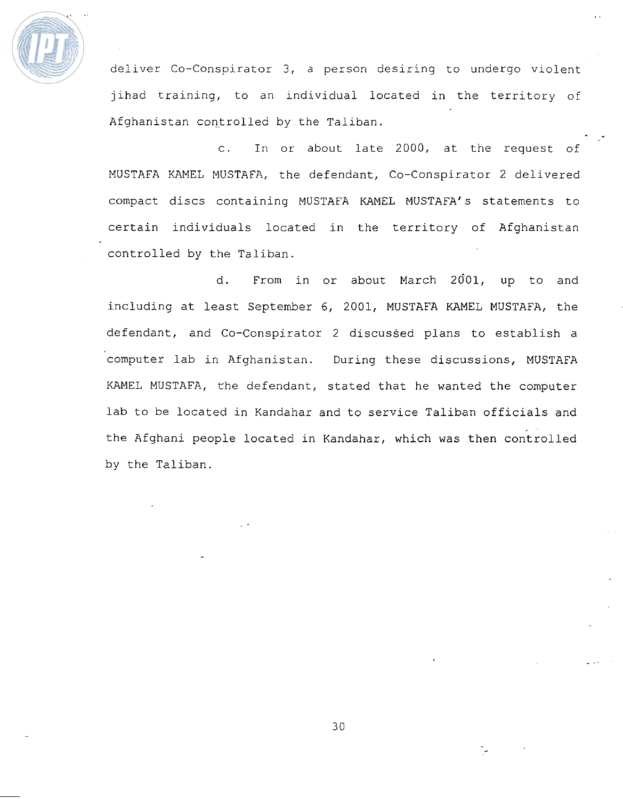

deliver Co-Conspirator 3, a person desiring to undergo violent jihad training, to an individual located in the territory of Afghanistan controlled by the Taliban.

-.

c. In or about late 2000, at the request of MUSTAFA KAMEL MUSTAFA, the defendant, Co-Conspirator 2 delivered compact discs containing MUSTAFA KAMEL MUSTAFA's statements to certain individuals located in the territory of Afghanistan controlled by the Taliban.

d. From in or about March **2601,** up to and including at least September 6, 2001, MUSTAFA KAMEL **MUSTAFA,** the defendant, and Co-Conspirator 2 discussed plans to establish a computer lab in Afghanistan. During these discussions, MUSTAFA KAMEL MUSTAFA, **the** defendant, stated that he wanted the computer lab to be located in Kandahar and to service **Taliban** officials and the Afghani people located in Kandahar, which was then controlled by the Taliban.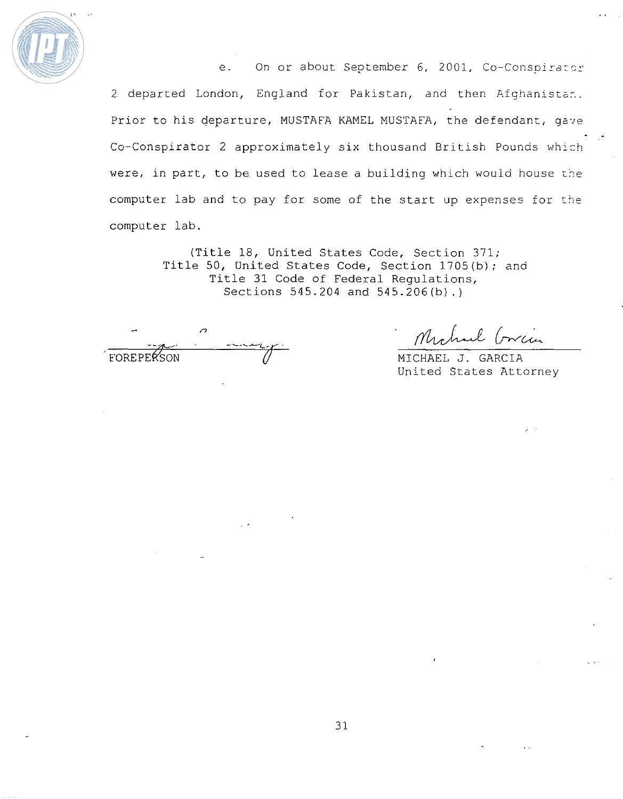

e. On or about September 6, 2001, Co-Conspirator 2 departed London, England for Pakistan, and then Afghanistan. Prior to his departure, MUSTAFA KAMEL MUSTAFA, the defendant, gave **Co-Conspirator 2 approximately** six thousand British Pounds which were, in part, to be used to lease a building which would house the computer lab and to pay for some of the start up expenses for the **computer lab.** 

> **(Title 18, United States Code, Section 371; Title 50, United States Code, Section 1705(b)** ; and Title **31 Code of Federal Regulations, Sections 545.204 and** 545.206(b).)

 $\overline{c}$ FOREPERSON

Mahael Cricia

**MICHAEL J. GARCIA**  United States Attorney